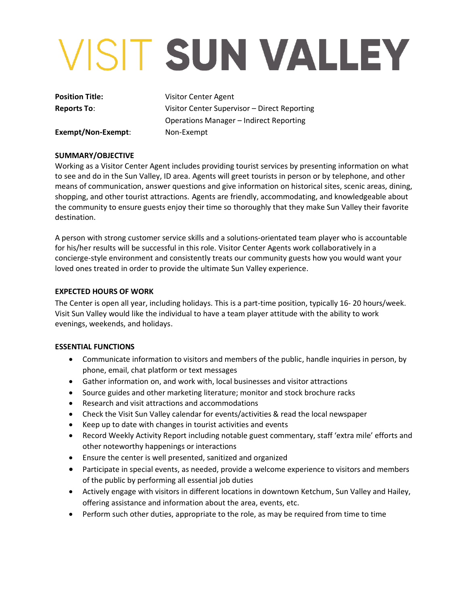# VISIT SUN VALLEY

**Position Title: Visitor Center Agent Reports To**: Visitor Center Supervisor – Direct Reporting Operations Manager – Indirect Reporting

**Exempt/Non-Exempt**: Non-Exempt

## **SUMMARY/OBJECTIVE**

Working as a Visitor Center Agent includes providing tourist services by presenting information on what to see and do in the Sun Valley, ID area. Agents will greet tourists in person or by telephone, and other means of communication, answer questions and give information on historical sites, scenic areas, dining, shopping, and other tourist attractions. Agents are friendly, accommodating, and knowledgeable about the community to ensure guests enjoy their time so thoroughly that they make Sun Valley their favorite destination.

A person with strong customer service skills and a solutions-orientated team player who is accountable for his/her results will be successful in this role. Visitor Center Agents work collaboratively in a concierge-style environment and consistently treats our community guests how you would want your loved ones treated in order to provide the ultimate Sun Valley experience.

## **EXPECTED HOURS OF WORK**

The Center is open all year, including holidays. This is a part-time position, typically 16- 20 hours/week. Visit Sun Valley would like the individual to have a team player attitude with the ability to work evenings, weekends, and holidays.

## **ESSENTIAL FUNCTIONS**

- Communicate information to visitors and members of the public, handle inquiries in person, by phone, email, chat platform or text messages
- Gather information on, and work with, local businesses and visitor attractions
- Source guides and other marketing literature; monitor and stock brochure racks
- Research and visit attractions and accommodations
- Check the Visit Sun Valley calendar for events/activities & read the local newspaper
- Keep up to date with changes in tourist activities and events
- Record Weekly Activity Report including notable guest commentary, staff 'extra mile' efforts and other noteworthy happenings or interactions
- Ensure the center is well presented, sanitized and organized
- Participate in special events, as needed, provide a welcome experience to visitors and members of the public by performing all essential job duties
- Actively engage with visitors in different locations in downtown Ketchum, Sun Valley and Hailey, offering assistance and information about the area, events, etc.
- Perform such other duties, appropriate to the role, as may be required from time to time